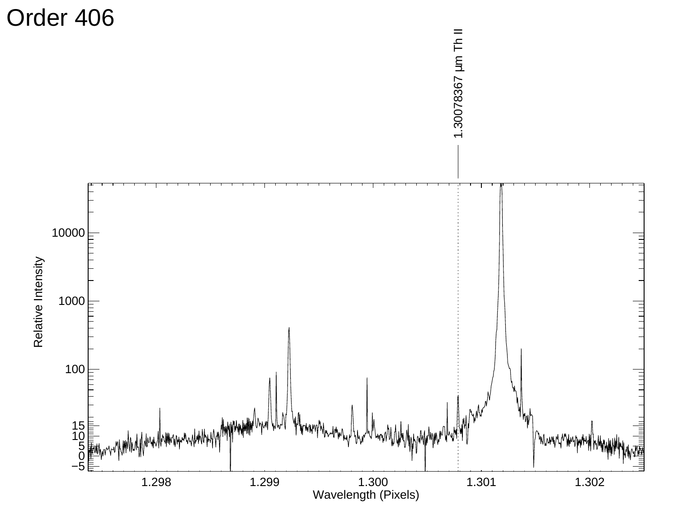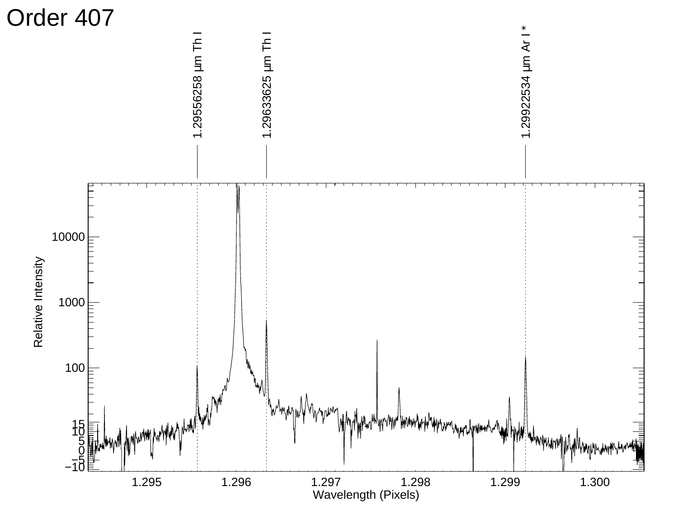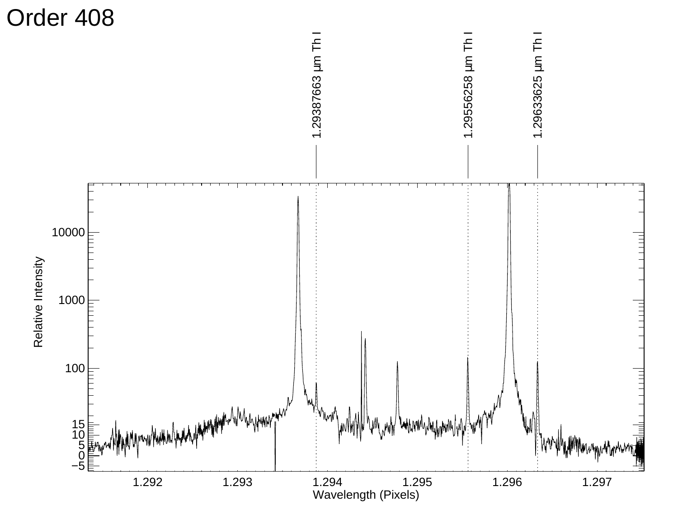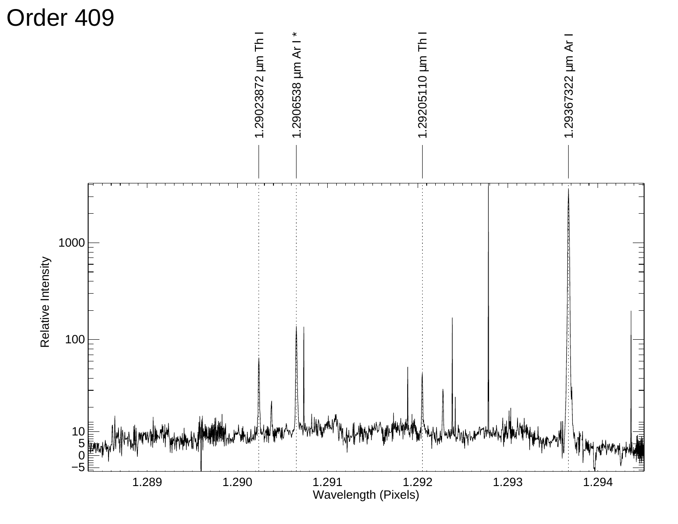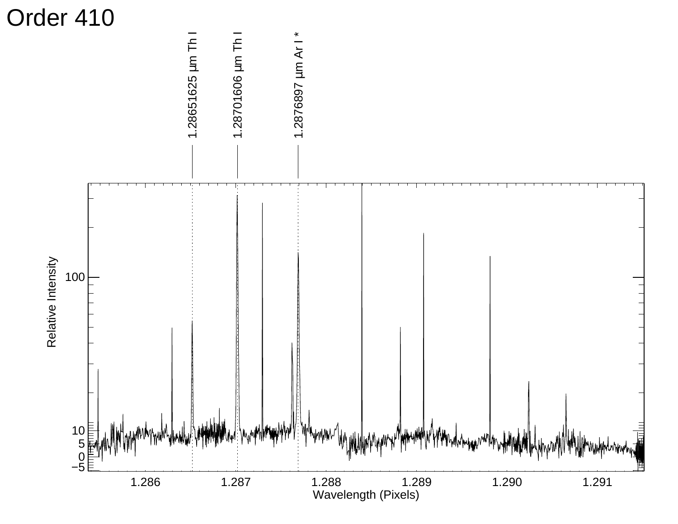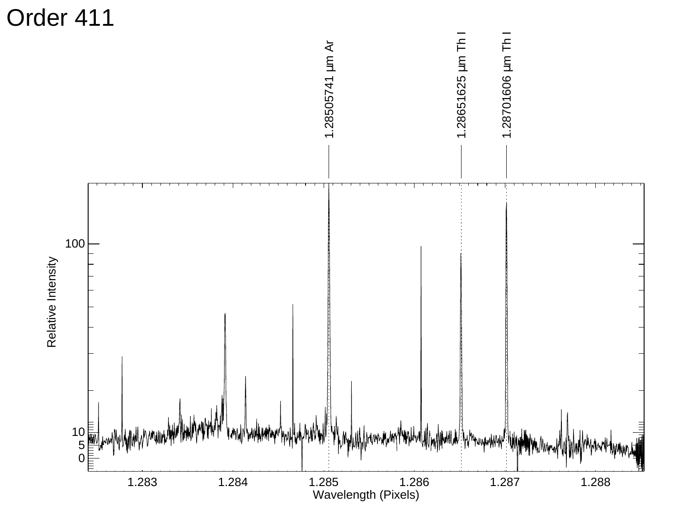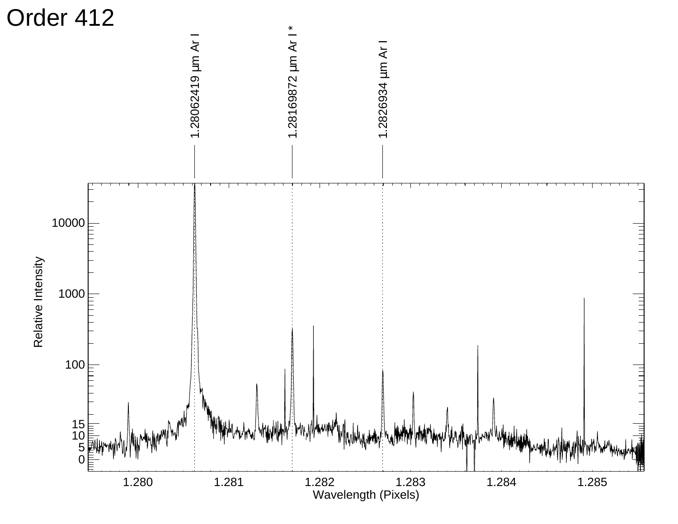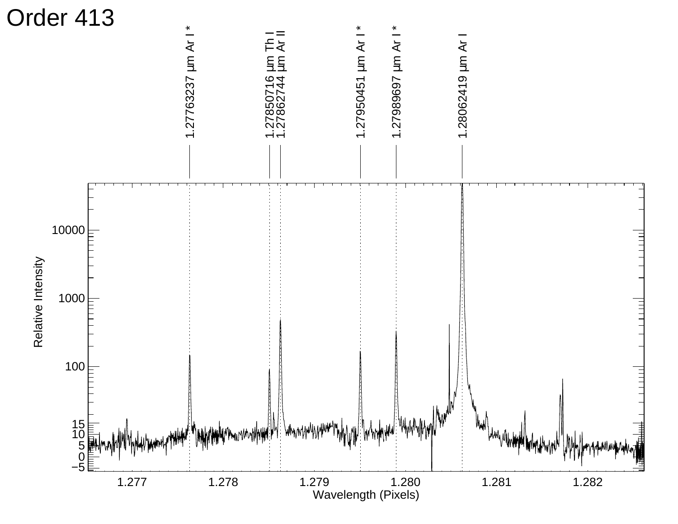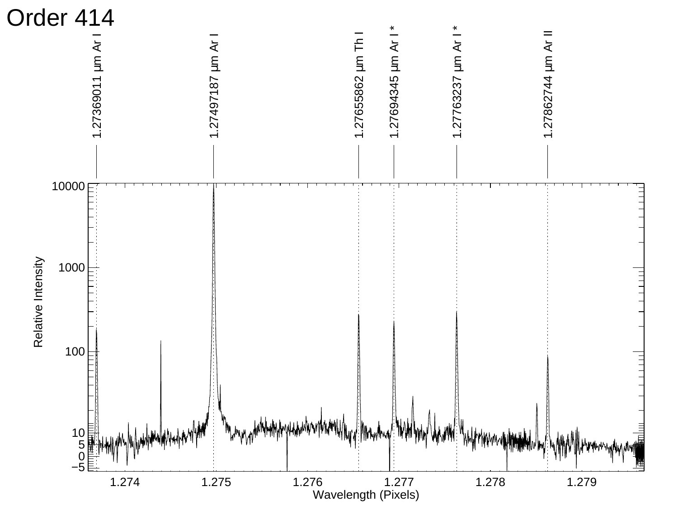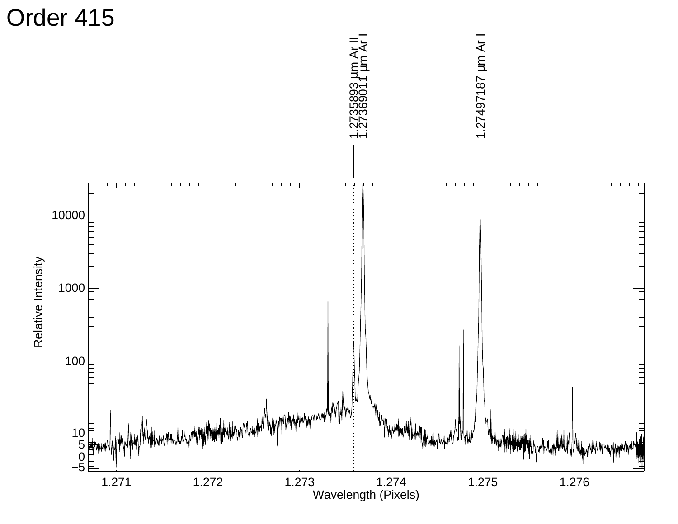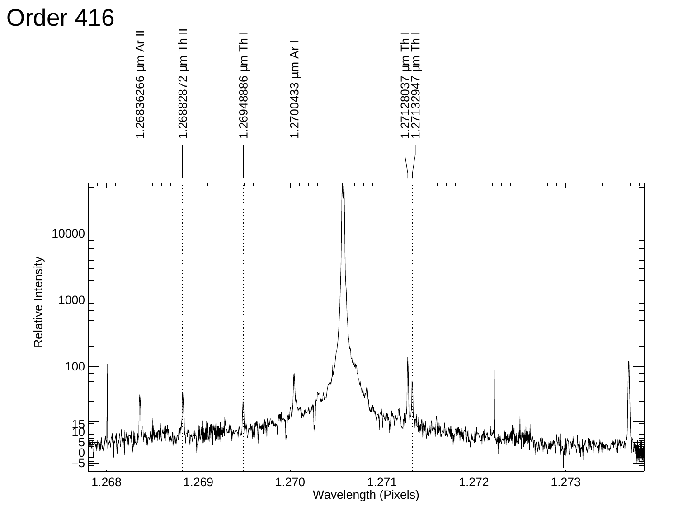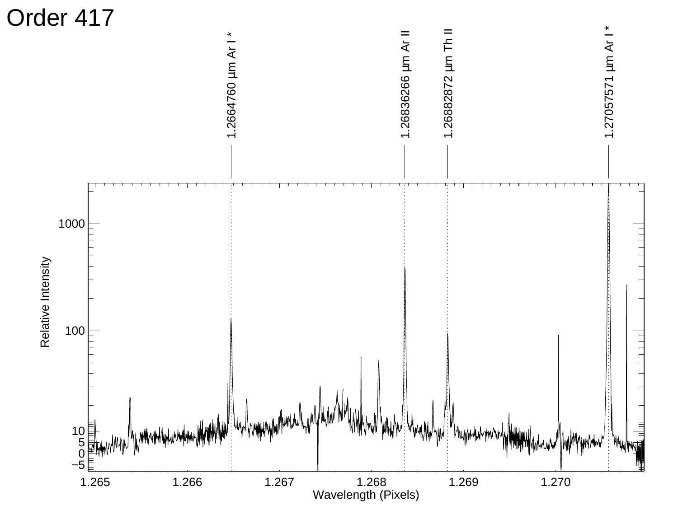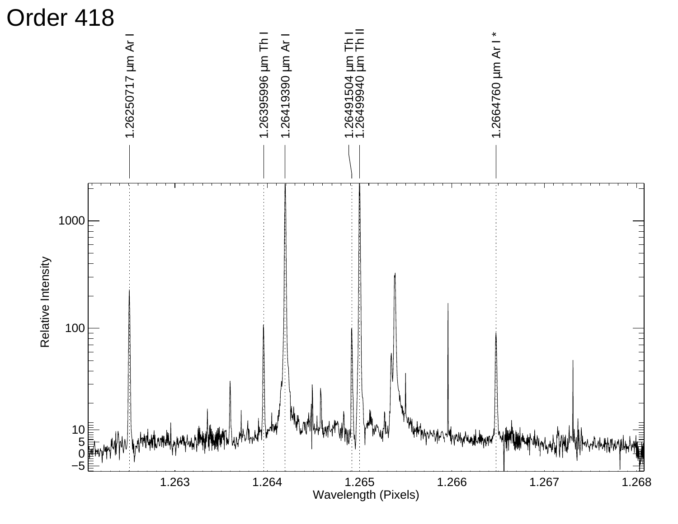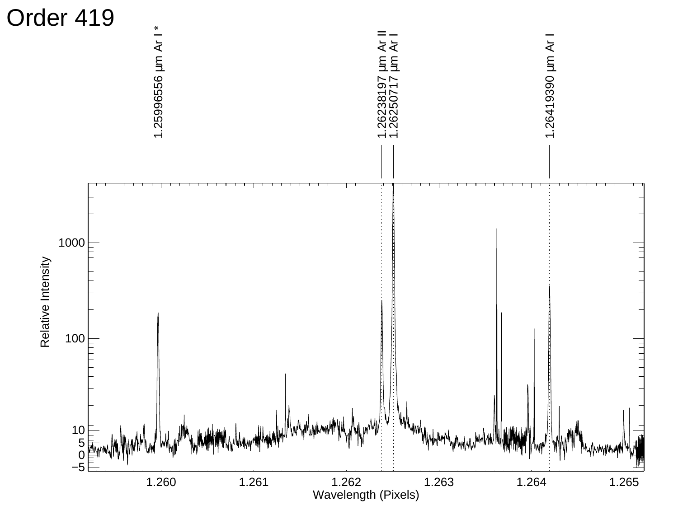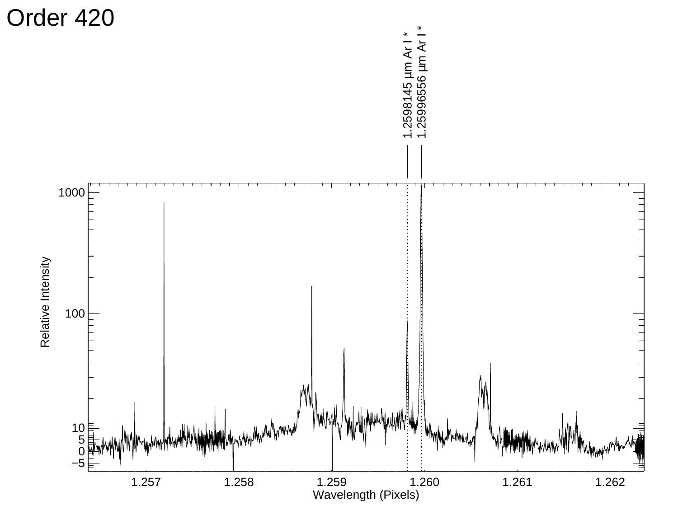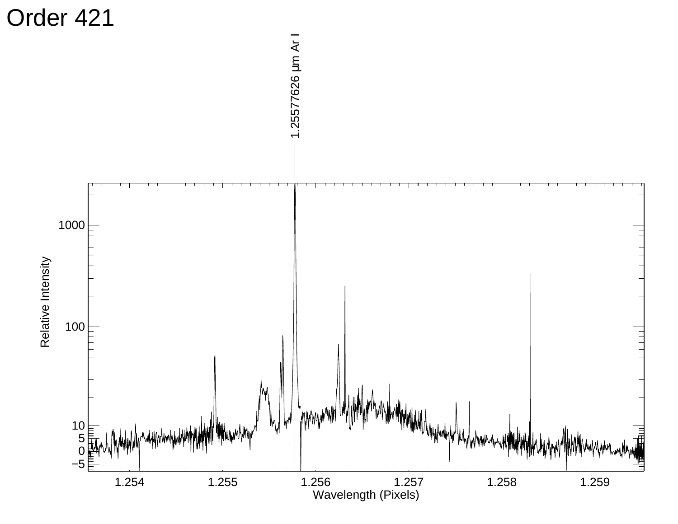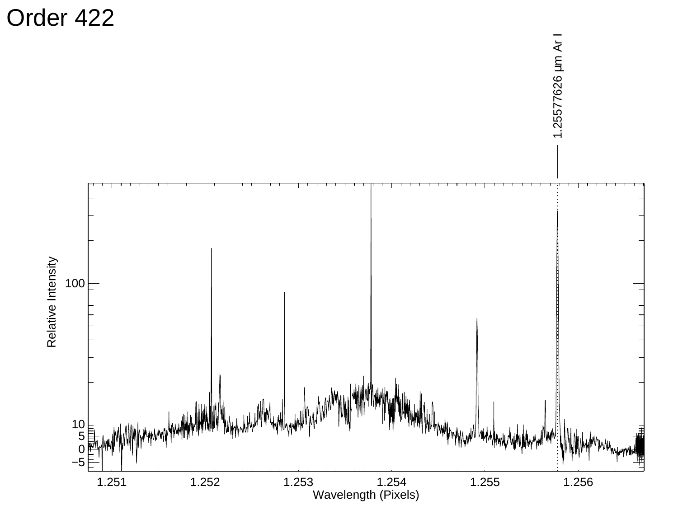Order 422

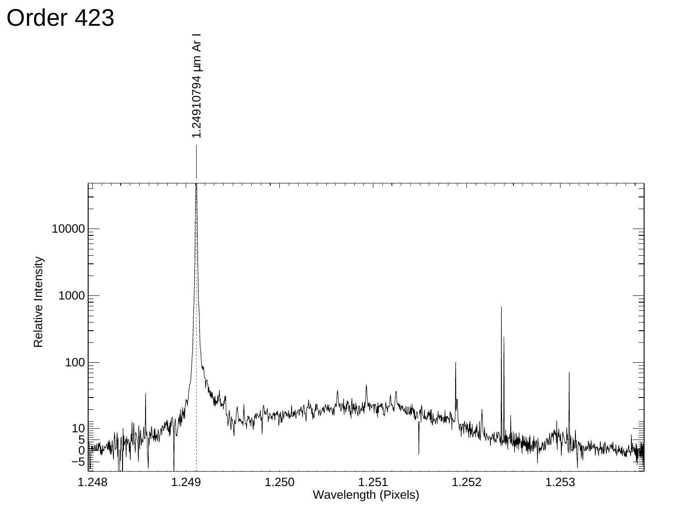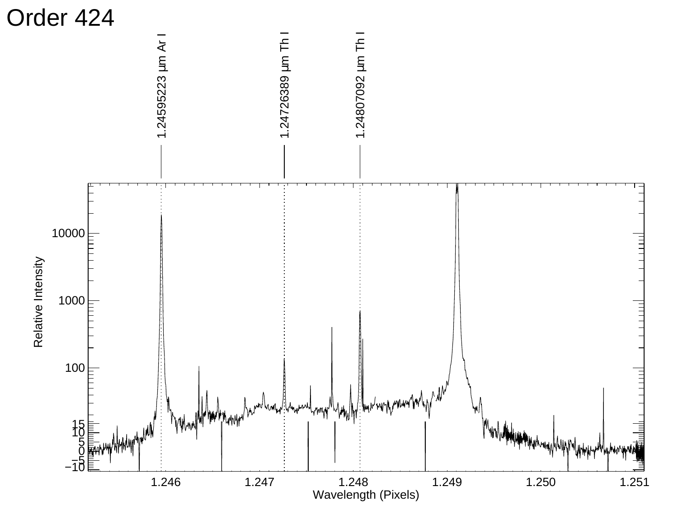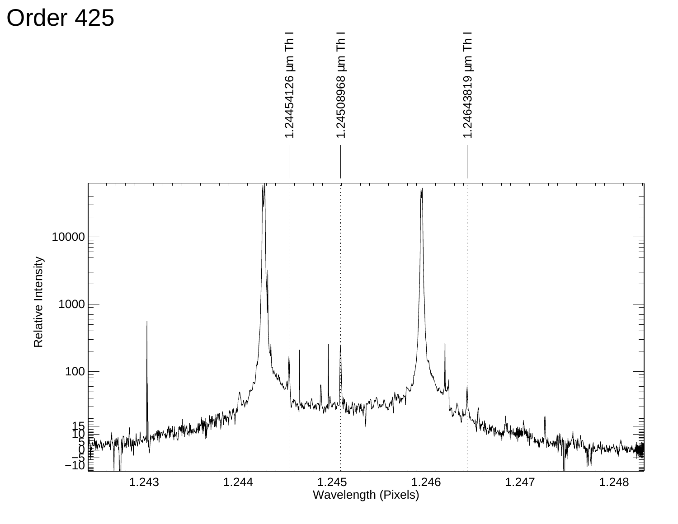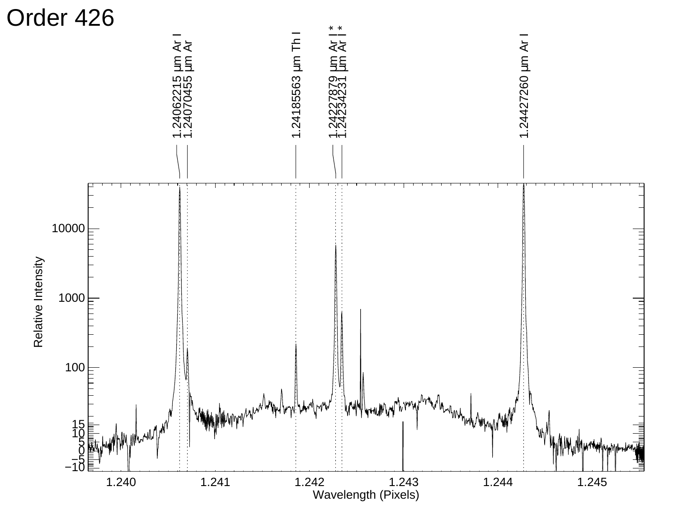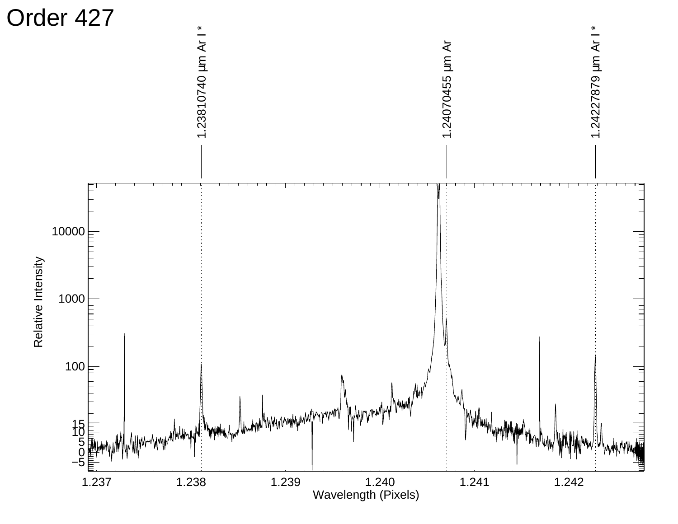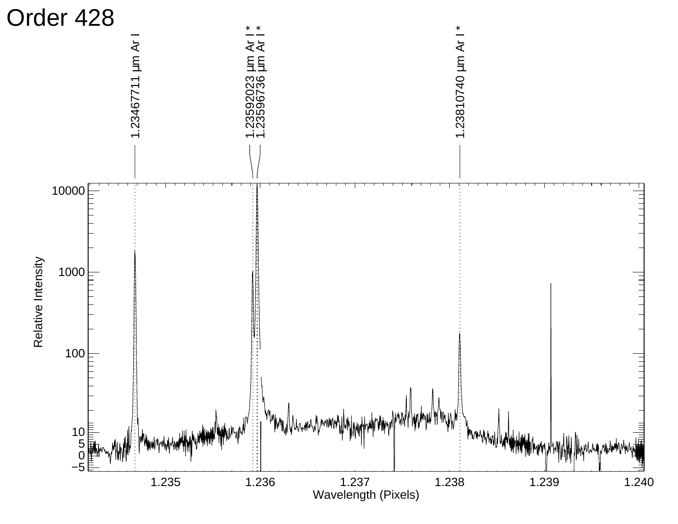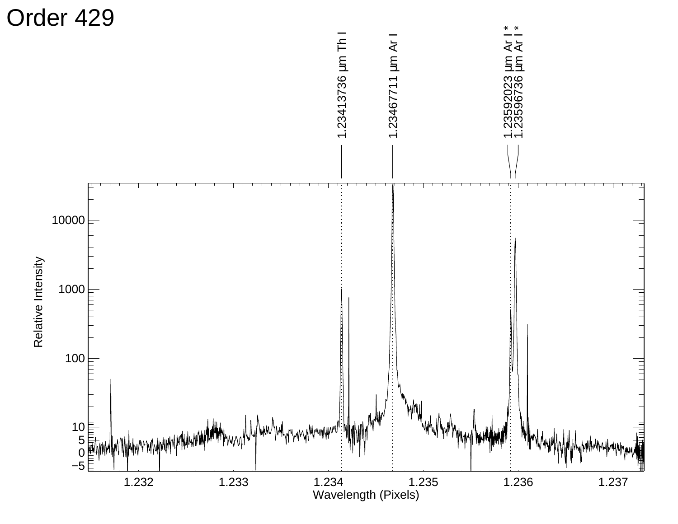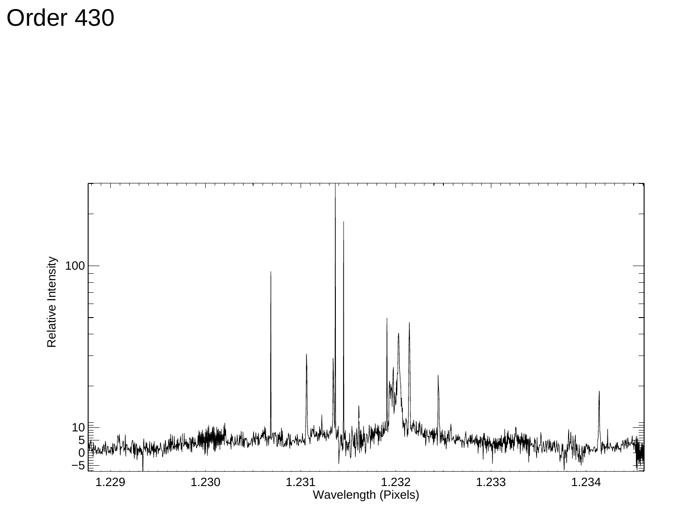Order 430

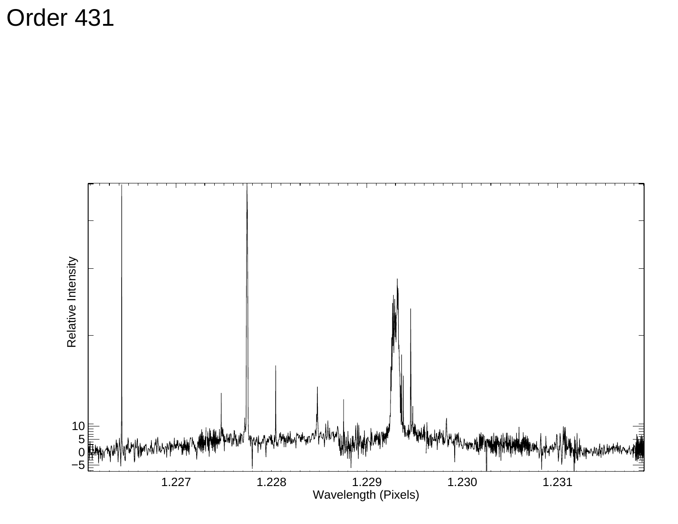Order 431

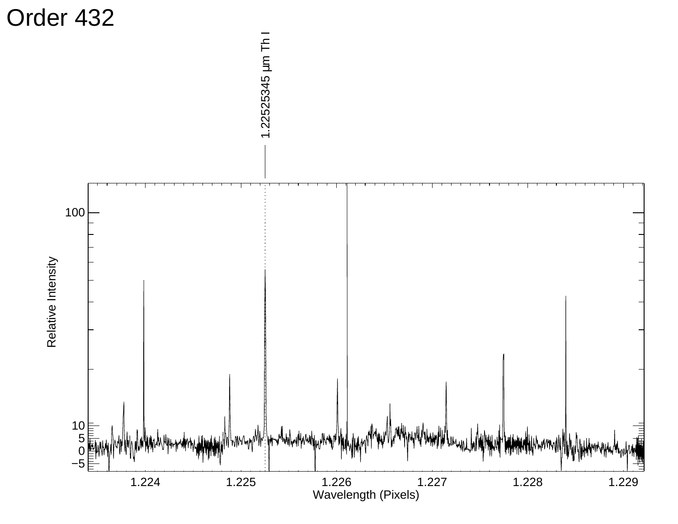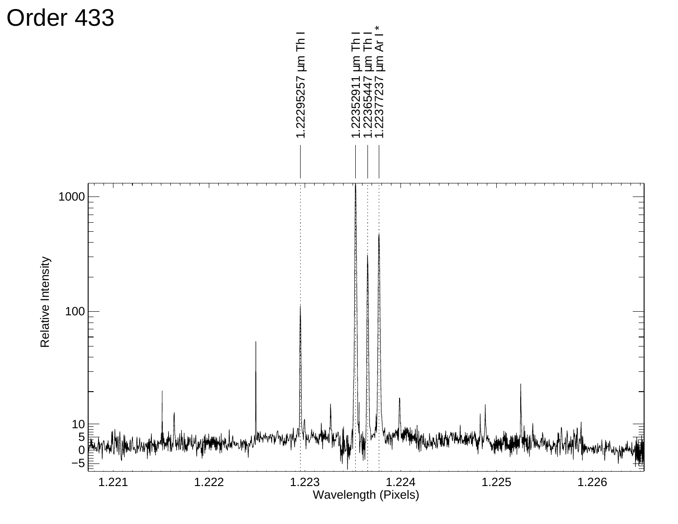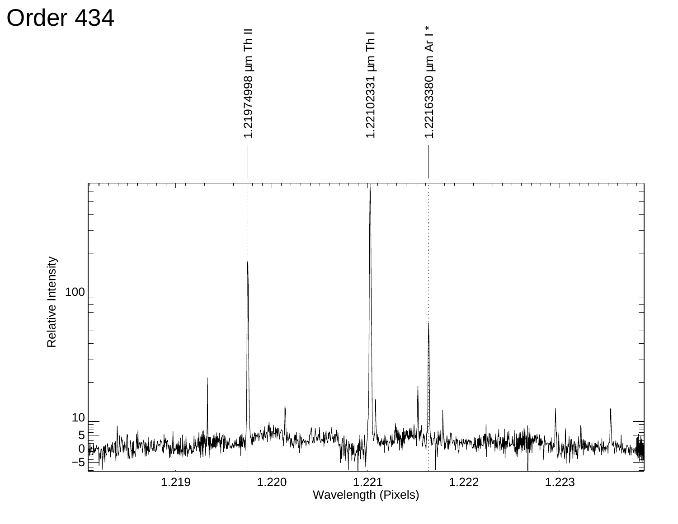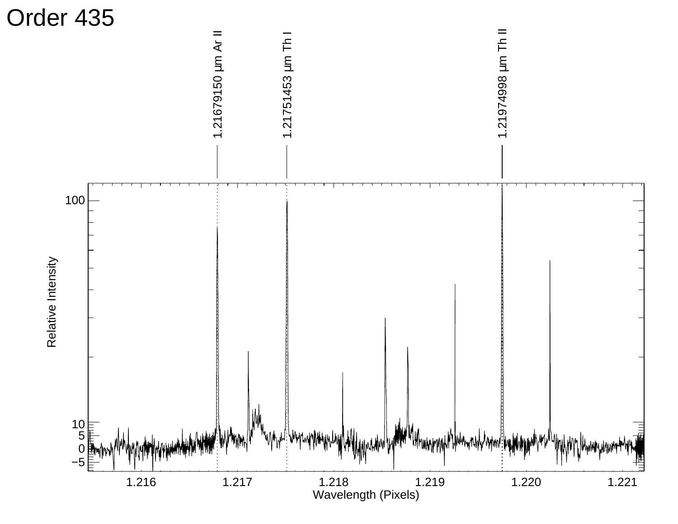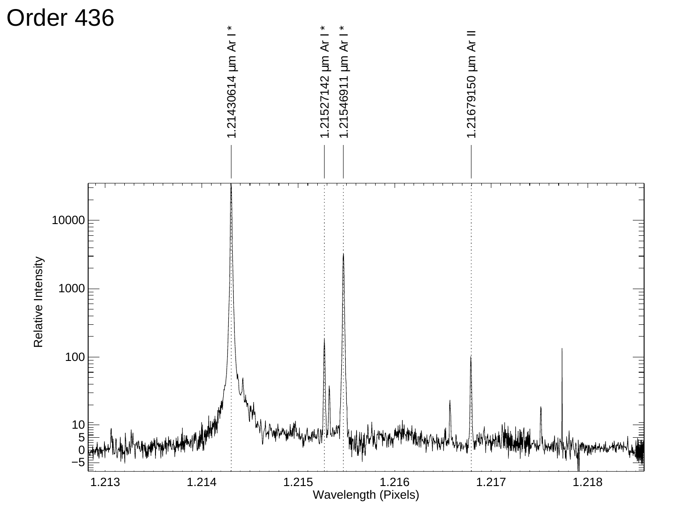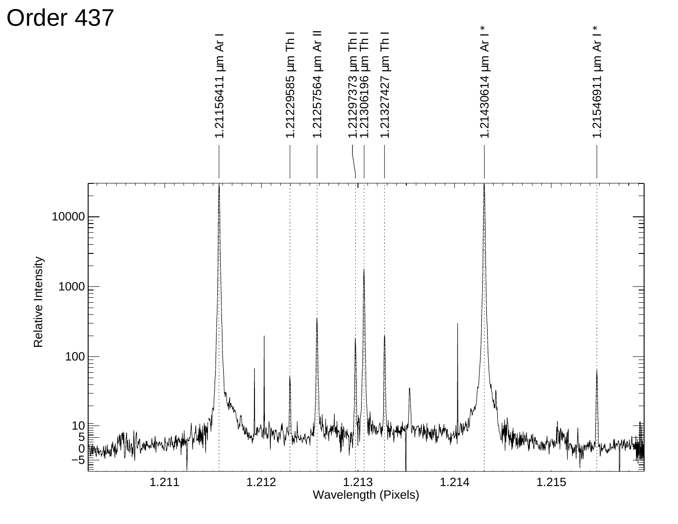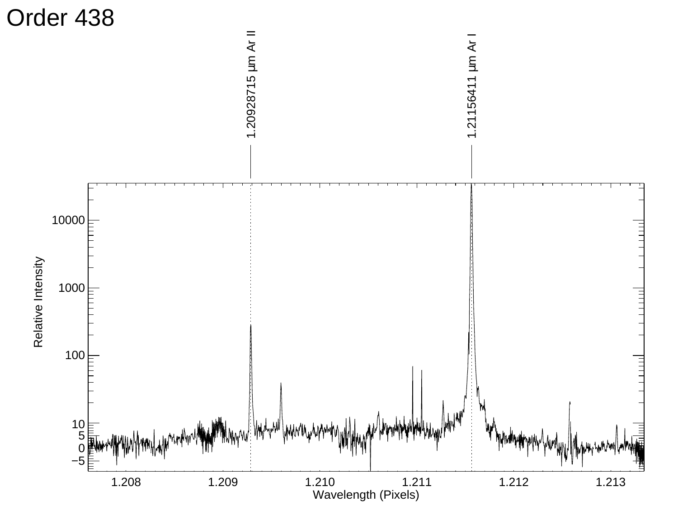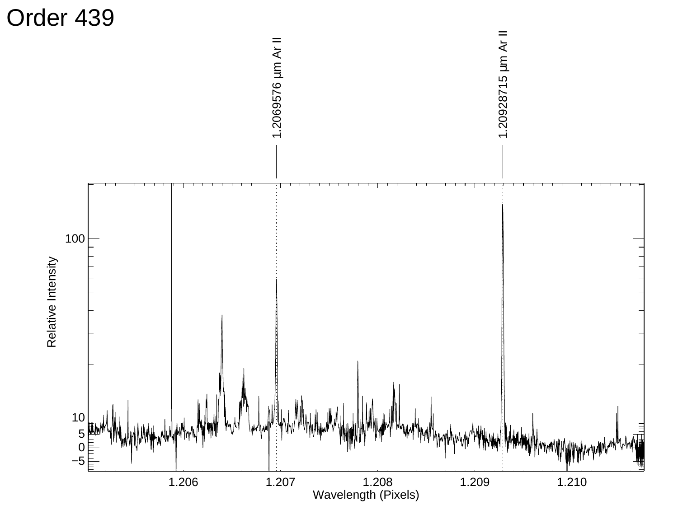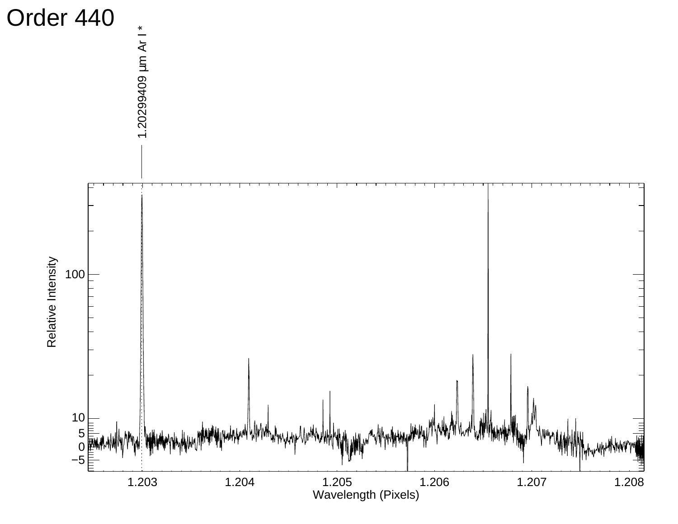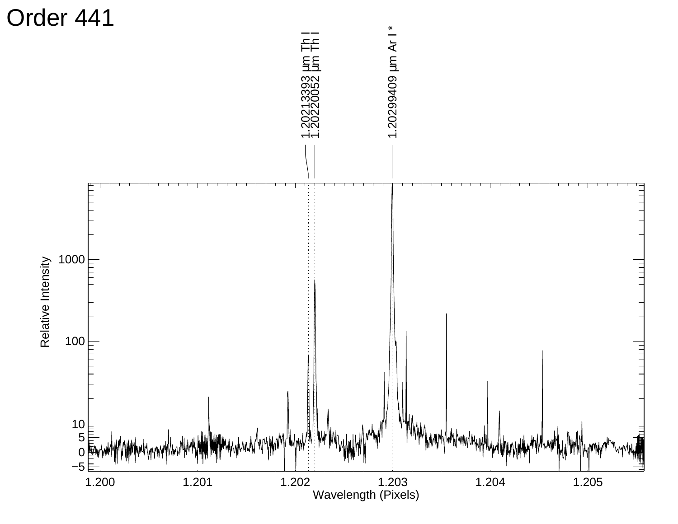